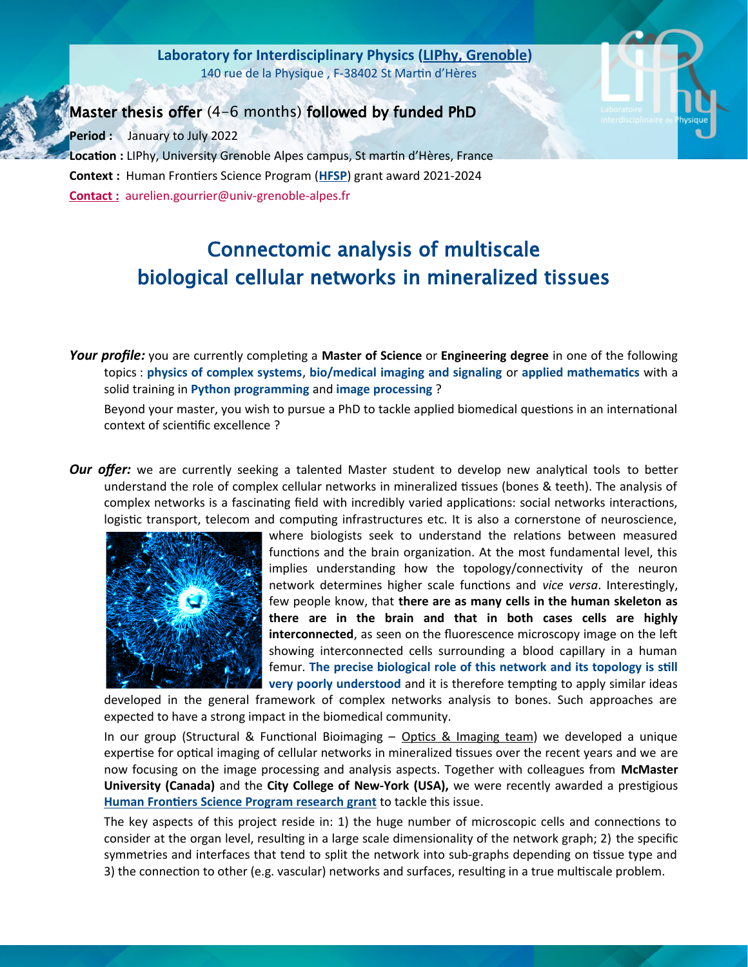**[Laboratory](http://www-liphy.univ-grenoble-alpes.fr/) [for Interdisciplinary](http://www-liphy.univ-grenoble-alpes.fr/) [Physics \(LIPhy, Grenoble\)](http://www-liphy.univ-grenoble-alpes.fr/)** 140 rue de la Physique , F-38402 St Martin d'Hères



Master thesis offer (4-6 months) followed by funded PhD

**Period :** January to July 2022 **Location :** LIPhy, University Grenoble Alpes campus, St martin d'Hères, France **Context :** Human Frontiers Science Program (**[HFSP](https://www.hfsp.org/)**) grant award 2021-2024  **Contact :** aurelien.gourrier@univ-grenoble-alpes.fr

## Connectomic analysis of multiscale biological cellular networks in mineralized tissues

*Your profile:* you are currently completing a **Master of Science** or **Engineering degree** in one of the following topics : **physics of complex systems**, **bio/medical imaging and signaling** or **applied mathematics** with a solid training in **Python programming** and **image processing** ?

Beyond your master, you wish to pursue a PhD to tackle applied biomedical questions in an international context of scientific excellence ?

*Our offer:* we are currently seeking a talented Master student to develop new analytical tools to better understand the role of complex cellular networks in mineralized tissues (bones & teeth). The analysis of complex networks is a fascinating field with incredibly varied applications: social networks interactions, logistic transport, telecom and computing infrastructures etc. It is also a cornerstone of neuroscience,



where biologists seek to understand the relations between measured functions and the brain organization. At the most fundamental level, this implies understanding how the topology/connectivity of the neuron network determines higher scale functions and *vice versa*. Interestingly, few people know, that **there are as many cells in the human skeleton as there are in the brain and that in both cases cells are highly interconnected**, as seen on the fluorescence microscopy image on the left showing interconnected cells surrounding a blood capillary in a human femur. **The precise biological role of this network and its topology is still very poorly understood** and it is therefore tempting to apply similar ideas

developed in the general framework of complex networks analysis to bones. Such approaches are expected to have a strong impact in the biomedical community.

In our group (Structural & Functional Bioimaging  $-$  Optics & Imaging team) we developed a unique expertise for optical imaging of cellular networks in mineralized tissues over the recent years and we are now focusing on the image processing and analysis aspects. Together with colleagues from **McMaster University (Canada)** and the **City College of New-York (USA),** we were recently awarded a prestigious **[Human Frontiers Science Program research grant](https://www.hfsp.org/awardees/newly-awarded)** to tackle this issue.

The key aspects of this project reside in: 1) the huge number of microscopic cells and connections to consider at the organ level, resulting in a large scale dimensionality of the network graph; 2) the specific symmetries and interfaces that tend to split the network into sub-graphs depending on tissue type and 3) the connection to other (e.g. vascular) networks and surfaces, resulting in a true multiscale problem.